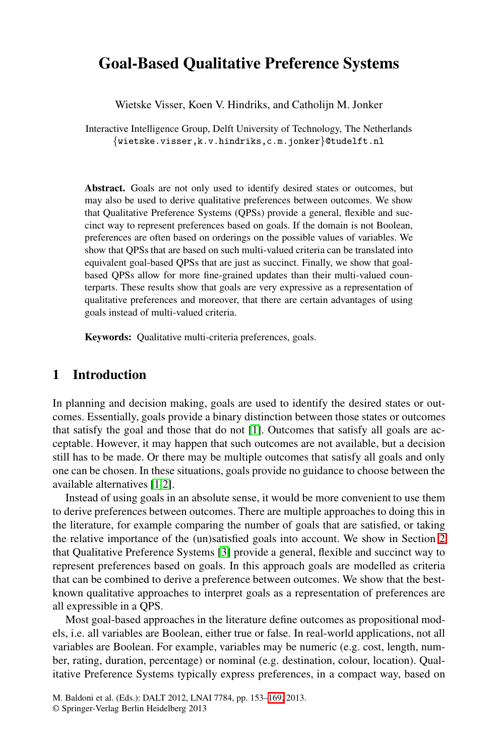# **Goal-Based Qualitative Preference Systems**

Wietske Visser, Koen V. Hindriks, and Catholijn M. Jonker

Interactive Intelligence Group, Delft University of Technology, The Netherlands *{*wietske.visser,k.v.hindriks,c.m.jonker*}*@tudelft.nl

**Abstract.** Goals are not only used to identify desired states or outcomes, but may also be used to derive qualitative preferences between outcomes. We show that Qualitative Preference Systems (QPSs) provide a general, flexible and succinct way to represent preferences based on goals. If the domain is not Boolean, preferences are often based on orderings on the possible values of variables. We show that QPSs that are based on such multi-valued criteria can be translated into equivalent goal-based QPSs that are just as succinct. Finally, we show that goalbased QPSs allow for more fine-grained updates than their multi-valued counterparts. These results show that goals are very expressive as a representation of qualitative preferences and moreover, that there are certain advantages of using goals instead of multi-valued criteria.

**Keywords:** Qualitative multi-criteria preferences, goals.

# **1 [In](#page-16-1)troduction**

In planning and decision making, goals are used to identify the desired states or outcomes. Essentially, goals provide a binary distinction between those states or outcomes that satisfy the goal and those that do not [1]. Outcomes that sa[tis](#page-1-0)fy all goals are acceptable. Howev[er,](#page-16-2) it may happen that such outcomes are not available, but a decision still has to be made. Or there may be multiple outcomes that satisfy all goals and only one can be chosen. In these situations, goals provide no guidance to choose between the available alternatives [1,2].

Instead of using goals in an absolute sense, it would be more convenient to use them to derive preferences between outcomes. There are multiple approaches to doing this in the literature, for example comparing the number of goals that are satisfied, or taking the relative importance of the (un)satisfied goals into account. We show in Section 2 that Qualitative Preference Systems [3] provide a general, flexible and succinct way to represent preferences based on goals. In this approach goals are modelled as criteria that can be combined to derive a preference between outcomes. We show that the bestknown qualitative approach[es to](#page-16-3) interpret goals as a representation of preferences are all expressible in a QPS.

Most goal-based approaches in the literature define outcomes as propositional models, i.e. all variables are Boolean, either true or false. In real-world applications, not all variables are Boolean. For example, variables may be numeric (e.g. cost, length, number, rating, duration, percentage) or nominal (e.g. destination, colour, location). Qualitative Preference Systems typically express preferences, in a compact way, based on

M. Baldoni et al. (Eds.): DALT 2012, LNAI 7784, pp. 153–169, 2013. © Springer-Verlag Berlin Heidelberg 2013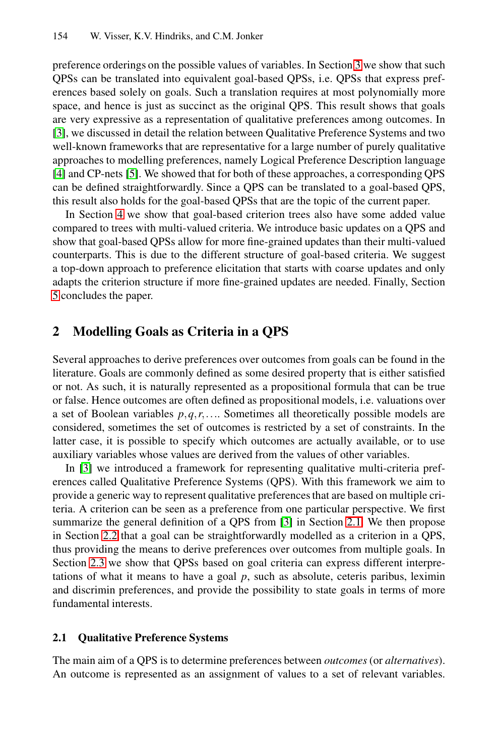<span id="page-1-0"></span>preference orderings on the possible values of variables. In Section 3 we show that such QPSs can be translated into equivalent goal-based QPSs, i.e. QPSs that express preferences based solely on goals. Such a translation requires at most polynomially more space, and hence is just as succinct as the original QPS. This result shows that goals are very expressive as a representation of qualitative preferences among outcomes. In [3], we discussed in detail the relation between Qualitative Preference Systems and two well-known frameworks that are representative for a large number of purely qualitative approaches to modelling preferences, namely Logical Preference Description language [4] and CP-nets [5]. We showed that for both of these approaches, a corresponding QPS can be defined straightforwardly. Since a QPS can be translated to a goal-based QPS, this result also holds for the goal-based QPSs that are the topic of the current paper.

In Section 4 we show that goal-based criterion trees also have some added value compared to trees with multi-valued criteria. We introduce basic updates on a QPS and show that goal-based QPSs allow for more fine-grained updates than their multi-valued counterparts. This is due to the different structure of goal-based criteria. We suggest a top-down approach to preference elicitation that starts with coarse updates and only adapts the criterion structure if more fine-grained updates are needed. Finally, Section 5 concludes the paper.

# **2 Modelling Goals as Criteria in a QPS**

Several approaches to derive preferences over outcomes from goals can be found in the literature. Goals are commonly defined as some desired property that is either satisfied or not. As such, it is naturally represented as a propositional formula that can be true or false. Hence outcomes are often defined as propositional models, i.e. valuations over a set of Boolean variables *p,q,[r](#page-16-2),...*. Someti[mes](#page-1-1) all theoretically possible models are considered, sometimes the set of outcomes is restricted by a set of constraints. In the latter case, it is possible to specify which outcomes are actually available, or to use auxiliary variables whose values are derived from the values of other variables.

<span id="page-1-1"></span>In [3] we introduced a framework for representing qualitative multi-criteria preferences called Qualitative Preference Systems (QPS). With this framework we aim to provide a generic way to represent qualitative preferences that are based on multiple criteria. A criterion can be seen as a preference from one particular perspective. We first summarize the general definition of a QPS from [3] in Section 2.1. We then propose in Section 2.2 that a goal can be straightforwardly modelled as a criterion in a QPS, thus providing the means to derive preferences over outcomes from multiple goals. In Section 2.3 we show that QPSs based on goal criteria can express different interpretations of what it means to have a goal *p*, such as absolute, ceteris paribus, leximin and discrimin preferences, and provide the possibility to state goals in terms of more fundamental interests.

## **2.1 Qualitative Preference Systems**

The main aim of a QPS is to determine preferences between *outcomes* (or *alternatives*). An outcome is represented as an assignment of values to a set of relevant variables.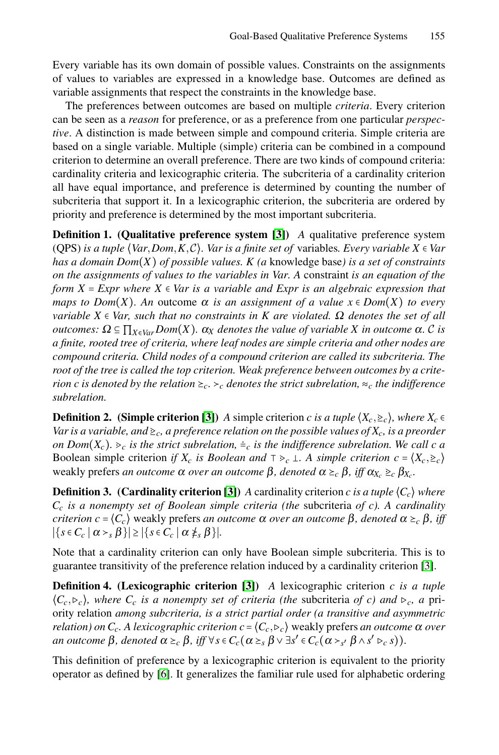Every variable has its own domain of possible values. Constraints on the assignments of values to variables are expressed in a knowledge base. Outcomes are defined as variable assignments that respect the constraints in the knowledge base.

The preferences between outcomes are based on multiple *criteria*. Every criterion can be seen as a *reason* for preference, or as a preference from one particular *perspective*. A distinction is made b[etw](#page-16-2)een simple and compound criteria. Simple criteria are based on a single variable. Multiple (simple) criteria can be combined in a compound criterion to determine an overall preference. There are two kinds of compound criteria: cardinality criteria and lexicographic criteria. The subcriteria of a cardinality criterion all have equal importance, and preference is determined by counting the number of subcriteria that support it. In a lexicographic criterion, the subcriteria are ordered by priority and preference is determined by the most important subcriteria.

**Definition 1. (Qualitative preference system [3])** *A* **qualitative preference system** (QPS) *is a tuple*  $\langle Var, Dom, K, C \rangle$ *. Var is a finite set of variables. Every variable*  $X \in Var$ *has a domain Dom*(*X*) *of possible values. K (a* knowledge base*) is a set of constraints on the assignments of values to the variables in Var. A* constraint *is an equation of the form X* = *Expr where X* ∈ *Var is a variable and Expr is an algebraic expression that maps to Dom*(*X*)*. An* outcome  $\alpha$  *is an assignment of a value x*  $\epsilon$  *Dom*(*X*) *to every variable X* ∈ *[Var](#page-16-2), such that no constraints in K are violated.* <sup>Ω</sup> *denotes the set of all outcomes:*  $\Omega \subseteq \prod_{X \in Var} Dom(X)$ *.*  $\alpha_X$  *denotes the value of variable X in outcome*  $\alpha$ *.*  $\mathcal C$  *is a finite, rooted tree of criteria, where leaf nodes are simple criteria and other nodes are compound criteria. Child nodes of a compound criterion are called its subcriteria. The root of the tree is called the top criterion. Weak preference between outcomes by a criterion c is denoted b[y t](#page-16-2)he relation*  $\geq_c$ .  $\geq_c$  *denotes the strict subrelation,*  $\approx_c$  *the indifference subrelation.*

**Definition 2.** (Simple criterion [3]) *A* simple criterion *c is a tuple*  $\langle X_c, \geq_c \rangle$ *, where*  $X_c \in$ Var is a variable, and  $\geq_c$ , a preference relation on the possible values of  $X_c$ , is a preorder *on Dom*( $X_c$ ).  $\geq_c$  *is the strict subrelation,*  $\neq_c$  *is the indifference subrelation. We call c a* Boolean sim[ple](#page-16-2) criterion *if*  $X_c$  *is Boolean and*  $\tau \geq_c \bot$ . A simple criterion  $c = \langle X_c, \geq_c \rangle$ weakly prefers *an outcome α over an outcome β, denoted*  $\alpha \geq_c \beta$ *, iff*  $\alpha_{X_c} \geq_c \beta_{X_c}$ *.* 

**Definition 3. (Cardin[al](#page-16-2)ity criterion [3])** *A* cardinality criterion *c is a tuple*  $\langle C_c \rangle$  *where Cc is a nonempty set of Boolean simple criteria (the* subcriteria *of c). A cardinality criterion c* =  $\langle C_c \rangle$  weakly prefers *an outcome*  $\alpha$  *over an outcome*  $\beta$ *, denoted*  $\alpha \geq_c \beta$ *, iff*  $|\{s \in C_c \mid \alpha >_s \beta\}| \geq |\{s \in C_c \mid \alpha \neq_s \beta\}|$ *.* 

Note that a cardinality criterion can only have Boolean simple subcriteria. This is to gua[ran](#page-16-4)tee transitivity of the preference relation induced by a cardinality criterion [3].

**Definition 4. (Lexicographic criterion [3])** *A* lexicographic criterion *c is a tuple*  $\langle C_c, \triangleright_c \rangle$ , where  $C_c$  *is a nonempty set of criteria (the subcriteria of c) and*  $\triangleright_c$ , *a* priority relation *among subcriteria, is a strict partial order (a transitive and asymmetric relation) on C<sub>c</sub>. A lexicographic criterion*  $c = (C_c, \triangleright_c)$  *weakly prefers <i>an outcome*  $\alpha$  *over*  $an \omega$ *dicome*  $\beta$ *, denoted*  $\alpha \geq_c \beta$ *, iff*  $\forall s \in C_c(\alpha \geq_s \beta \vee \exists s' \in C_c(\alpha >_{s'} \beta \wedge s' \rhd_c s))$ .

This definition of preference by a lexicographic criterion is equivalent to the priority operator as defined by [6]. It generalizes the familiar rule used for alphabetic ordering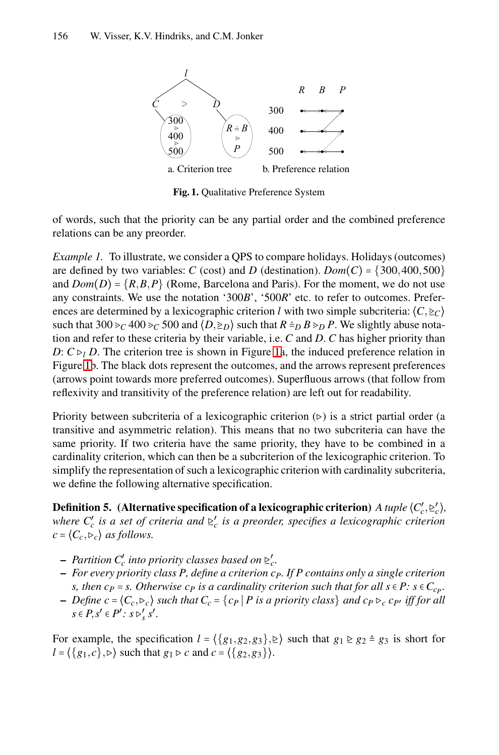<span id="page-3-0"></span>

**Fig. 1.** Qualitative Preference System

of words, such that the priority can be any partial order and the combined preference relations can be any preorder.

*Example 1.* To illustrate, we [co](#page-3-0)nsider a QPS to compare holidays. Holidays (outcomes) are defined by two variables: *C* (cost) and *D* (destination). *Dom*(*C*) = {300*,*400*,500*} and  $Dom(D) = {R, B, P}$  (Rome, Barcelona and Paris). For the moment, we do not use any constraints. We use the notation '300*B*', '500*R*' etc. to refer to outcomes. Preferences are determined by a lexicographic criterion *l* with two simple subcriteria:  $\langle C, \geq_C \rangle$ such that 300  $\gtrsim$  400  $\gtrsim$  500 and  $\langle D, \geq_D \rangle$  such that  $R \doteq_D B \gtrsim_D P$ . We slightly abuse notation and refer to these criteria by their variable, i.e. *C* and *D*. *C* has higher priority than *D*:  $C \triangleright_l D$ . The criterion tree is shown in Figure 1a, the induced preference relation in Figure 1b. The black dots represent the outcomes, and the arrows represent preferences (arrows point towards more preferred outcomes). Superfluous arrows (that follow from reflexivity and transitivity of the preference relation) are left out for readability.

Priority between subcriteria of a lexicographic criterion  $(\triangleright)$  is a strict partial order (a transitive and asymmetric relation). This means that no two subcriteria can have the same priority. If two criteria have the same priority, they have to be combined in a cardinality criterion, which can then be a subcriterion of the lexicographic criterion. To simplify the representation of such a lexicographic criterion with cardinality subcriteria, we define the following alternative specification.

**Definition 5.** (Alternative specification of a lexicographic criterion) *A tuple*  $\langle C'_c, {\succeq}'_c \rangle$ *where C*′ *<sup>c</sup> is a set of criteria and* <sup>⊵</sup>′ *<sup>c</sup> is a preorder, specifies a lexicographic criterion*  $c = \langle C_c, \triangleright_c \rangle$  *as follows.* 

- **–** *Partition C*′ *<sup>c</sup> into priority classes based on* <sup>⊵</sup>′ *c.*
- **–** *For every priority class P, define a criterion cP. If P contains only a single criterion s, then c<sub>P</sub> = <i>s. Otherwise c<sub>P</sub> is a cardinality criterion such that for all*  $s \in P$ *:*  $s \in C_{c_p}$ *.*
- **–** *Define c* = ⟨*Cc,*⊳*c*⟩ *such that Cc* = {*cP* ∣ *P is a priority class*} *and cP* ⊳*<sup>c</sup> cP*′ *iff for all*  $s \in P, s' \in P' : s \rhd'_{s} s'$ .

For example, the specification  $l = \{ \{g_1, g_2, g_3\}, \ge \}$  such that  $g_1 \ge g_2 \triangleq g_3$  is short for  $l = \{ \{g_1, c\}, \triangleright \}$  such that  $g_1 \triangleright c$  and  $c = \{ \{g_2, g_3\} \}.$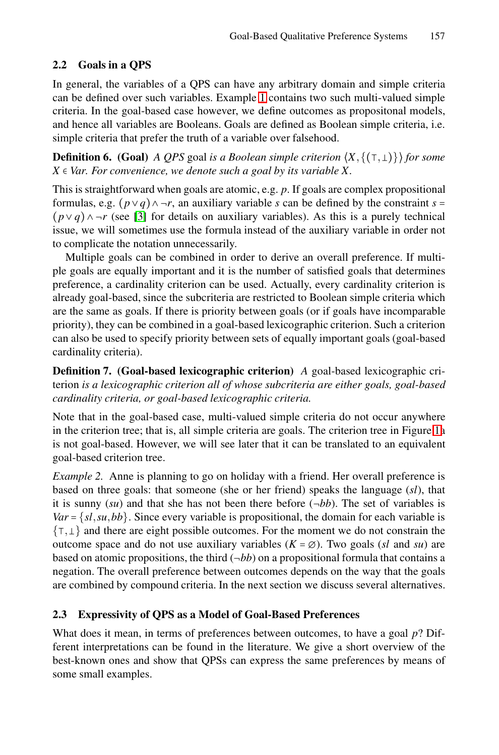## **2.2 Goals in a QPS**

In general, the variables of a QPS can have any arbitrary domain and simple criteria can be defined over such variables. Example 1 contains two such multi-valued simple [c](#page-16-2)riteria. In the goal-based case however, we define outcomes as propositonal models, and hence all variables are Booleans. Goals are defined as Boolean simple criteria, i.e. simple criteria that prefer the truth of a variable over falsehood.

**Definition 6. (Goal)** *A QPS* goal *is a Boolean simple criterion* ⟨*X,*{(⊺*,*)}⟩ *for some*  $X \in \text{Var}$ . For convenience, we denote such a goal by its variable X.

This is straightforward when goals are atomic, e.g. *p*. If goals are complex propositional formulas, e.g.  $(p \lor q) \land \neg r$ , an auxiliary variable *s* can be defined by the constraint *s* =  $(p \lor q) \land \neg r$  (see [3] for details on auxiliary variables). As this is a purely technical issue, we will sometimes use the formula instead of the auxiliary variable in order not to complicate the notation unnecessarily.

Multiple goals can be combined in order to derive an overall preference. If multiple goals are equally important and it is the number of satisfied goals that determines preference, a cardinality criterion can be used. Actually, every cardinality criterion is already goal-based, since the subcriteria are restricted to Boolean simple criteria which are the same as goals. If there is priority between goals (or if goals have incomparable priority), they can be combined in a goal-based lexicographic cri[ter](#page-3-0)ion. Such a criterion can also be used to specify priority between sets of equally important goals (goal-based cardinality criteria).

**Definition 7. (Goal-based lexicographic criterion)** *A* goal-based lexicographic criterion *is a lexicographic criterion all of whose subcriteria are either goals, goal-based cardinality criteria, or goal-based lexicographic criteria.*

Note that in the goal-based case, multi-valued simple criteria do not occur anywhere in the criterion tree; that is, all simple criteria are goals. The criterion tree in Figure 1a is not goal-based. However, we will see later that it can be translated to an equivalent goal-based criterion tree.

*Example 2.* Anne is planning to go on holiday with a friend. Her overall preference is based on three goals: that someone (she or her friend) speaks the language (*sl*), that it is sunny  $(su)$  and that she has not been there before  $(\neg bb)$ . The set of variables is  $Var = \{sl, x, y, bb\}$ . Since every variable is propositional, the domain for each variable is {⊺*,*} and there are eight possible outcomes. For the moment we do not constrain the outcome space and do not use auxiliary variables  $(K = \emptyset)$ . Two goals (*sl* and *su*) are based on atomic propositions, the third  $(\neg bb)$  on a propositional formula that contains a negation. The overall preference between outcomes depends on the way that the goals are combined by compound criteria. In the next section we discuss several alternatives.

## **2.3 Expressivity of QPS as a Model of Goal-Based Preferences**

What does it mean, in terms of preferences between outcomes, to have a goal *p*? Different interpretations can be found in the literature. We give a short overview of the best-known ones and show that QPSs can express the same preferences by means of some small examples.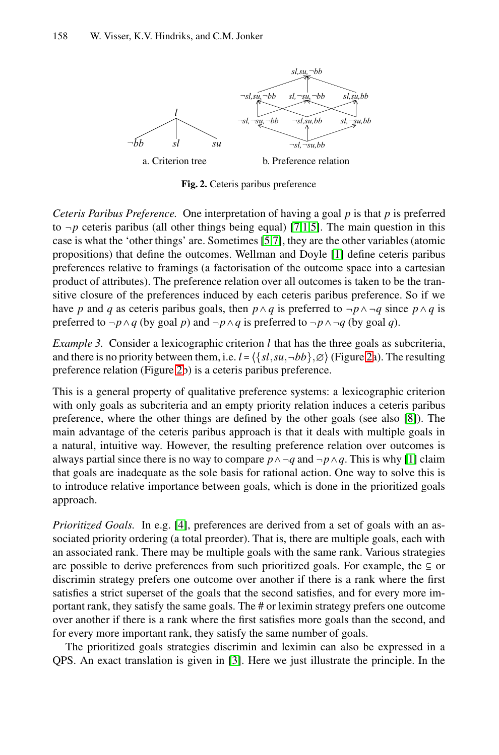<span id="page-5-0"></span>

**Fig. 2.** Ceteris paribus preference

*Ceteris Paribus Preference.* One interpretation of having a goal *p* is that *p* is preferred to  $\neg p$  ceteris paribus (all other things being equal) [7,1,5]. The main question in this case is what the 'other things' are. Sometimes [5,7], they are the other variables (atomic propositions) that define the outcomes. Wellman [an](#page-5-0)d Doyle [1] define ceteris paribus prefere[nc](#page-5-0)es relative to framings (a factorisation of the outcome space into a cartesian product of attributes). The preference relation over all outcomes is taken to be the transitive closure of the preferences induced by each ceteris paribus preference. So if we have *p* and *q* as ceteris paribus goals, then  $p \land q$  is prefer[red](#page-16-5) to  $\neg p \land \neg q$  since  $p \land q$  is preferred to  $\neg p \land q$  (by goal *p*) and  $\neg p \land q$  is preferred to  $\neg p \land \neg q$  (by goal *q*).

*Example 3.* Consider a lexicographic criterion *l* that has the three goals as subcriteria, and there is no priority between them, i.e.  $l = \langle \{sl, u, \neg bb \}, \varnothing \rangle$  (Figure 2a). The resulting preference relation (Figure 2b) is a ceteris paribus preference.

This is a general property of qualitative preference systems: a lexicographic criterion with only goals as subcriteria and an empty priority relation induces a ceteris paribus prefere[nce](#page-16-6), where the other things are defined by the other goals (see also [8]). The main advantage of the ceteris paribus approach is that it deals with multiple goals in a natural, intuitive way. However, the resulting preference relation over outcomes is always partial since there is no way to compare  $p \land \neg q$  and  $\neg p \land q$ . This is why [1] claim that goals are inadequate as the sole basis for rational action. One way to solve this is to introduce relative importance between goals, which is done in the prioritized goals approach.

*Prioritized Goals.* In e.g. [4], preferences are derived from a set of goals with an associated priority ordering (a total preorder). That is, there are multiple goals, each with an associated rank. [Th](#page-16-2)ere may be multiple goals with the same rank. Various strategies are possible to derive preferences from such prioritized goals. For example, the  $\subseteq$  or discrimin strategy prefers one outcome over another if there is a rank where the first satisfies a strict superset of the goals that the second satisfies, and for every more important rank, they satisfy the same goals. The # or leximin strategy prefers one outcome over another if there is a rank where the first satisfies more goals than the second, and for every more important rank, they satisfy the same number of goals.

The prioritized goals strategies discrimin and leximin can also be expressed in a QPS. An exact translation is given in [3]. Here we just illustrate the principle. In the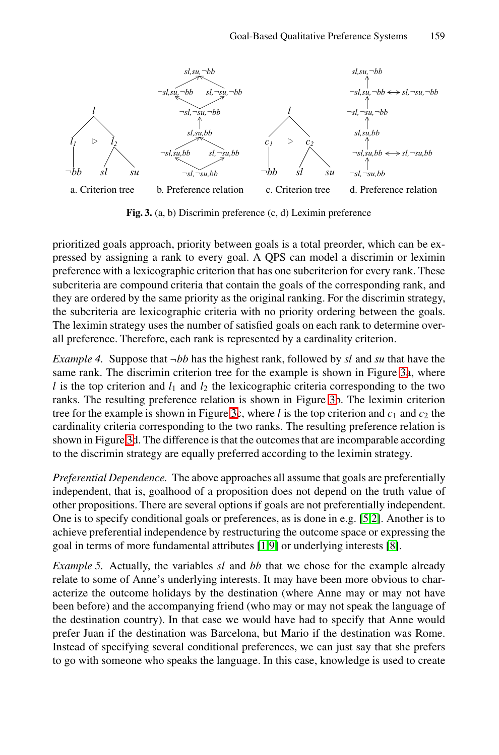<span id="page-6-0"></span>

**Fig. 3.** (a, b) Discrimin preference (c, d) Leximin preference

prioritized goals approach, priority between goals is a total preorder, which can be expressed by assigning a rank to every goal. A QPS can model a discrimin or leximin preference with a lexicographic criterion that has one sub[cri](#page-6-0)terion for every rank. These subcriteria are compound criteria that contain the goals of the corresponding rank, and they are ordered by the same priority as t[he](#page-6-0) original ranking. For the discrimin strategy, the subcriteria are [lex](#page-6-0)icographic criteria with no priority ordering between the goals. The leximin strategy uses the number of satisfied goals on each rank to determine overall preference. Therefore, each rank is represented by a cardinality criterion.

*Example 4.* Suppose that  $\neg bb$  has the highest rank, followed by *sl* and *su* that have the same rank. The discrimin criterion tree for the example is shown in Figure 3a, where *l* is the top criterion and  $l_1$  and  $l_2$  the lexicographic criteria corresponding to the two ranks. The resulting preference relation is shown in Figure 3b. The leximin criterion tree for the examp[l](#page-16-7)e [is](#page-16-1) shown in Figure 3c, where *l* is the top criterion and  $c_1$  and  $c_2$  the cardinality criteria corresponding to the two ranks. The resulting preference relation is shown in Figure 3d. The d[iff](#page-16-0)[er](#page-16-8)ence is that the outcomes [th](#page-16-5)at are incomparable according to the discrimin strategy are equally preferred according to the leximin strategy.

*Preferential Dependence.* The above approaches all assume that goals are preferentially independent, that is, goalhood of a proposition does not depend on the truth value of other propositions. There are several optionsif goals are not preferentially independent. One is to specify conditional goals or preferences, as is done in e.g. [5,2]. Another is to achieve preferential independence by restructuring the outcome space or expressing the goal in terms of more fundamental attributes [1,9] or underlying interests [8].

*Example 5.* Actually, the variables *sl* and *bb* that we chose for the example already relate to some of Anne's underlying interests. It may have been more obvious to characterize the outcome holidays by the destination (where Anne may or may not have been before) and the accompanying friend (who may or may not speak the language of the destination country). In that case we would have had to specify that Anne would prefer Juan if the destination was Barcelona, but Mario if the destination was Rome. Instead of specifying several conditional preferences, we can just say that she prefers to go with someone who speaks the language. In this case, knowledge is used to create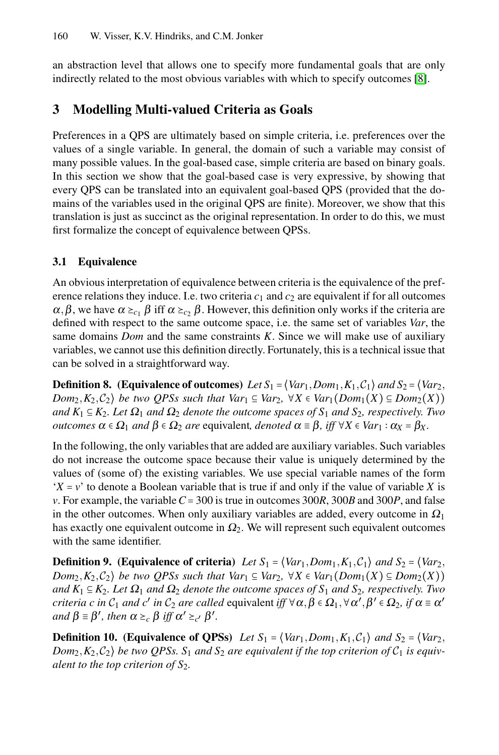an abstraction level that allows one to specify more fundamental goals that are only indirectly related to the most obvious variables with which to specify outcomes [8].

# **3 Modelling Multi-valued Criteria as Goals**

Preferences in a QPS are ultimately based on simple criteria, i.e. preferences over the values of a single variable. In general, the domain of such a variable may consist of many possible values. In the goal-based case, simple criteria are based on binary goals. In this section we show that the goal-based case is very expressive, by showing that every QPS can be translated into an equivalent goal-based QPS (provided that the domains of the variables used in the original QPS are finite). Moreover, we show that this translation is just as succinct as the original representation. In order to do this, we must first formalize the concept of equivalence between QPSs.

## **3.1 Equivalence**

An obvious interpretation of equivalence between criteria is the equivalence of the preference relations they induce. I.e. two criteria  $c_1$  and  $c_2$  are equivalent if for all outcomes  $\alpha, \beta$ , we have  $\alpha \geq_{c_1} \beta$  iff  $\alpha \geq_{c_2} \beta$ . However, this definition only works if the criteria are defined with respect to the same outcome space, i.e. the same set of variables *Var*, the same domains *Dom* and the same constraints *K*. Since we will make use of auxiliary variables, we cannot use this definition directly. Fortunately, this is a technical issue that can be solved in a straightforward way.

**Definition 8.** (Equivalence of outcomes) Let  $S_1 = \langle Var_1, Dom_1, K_1, C_1 \rangle$  and  $S_2 = \langle Var_2,$ *Dom*<sub>2</sub>*,K*<sub>2</sub>*,C*<sub>2</sub> $)$  *be two QPSs such that Var*<sub>1</sub> ⊆ *Var*<sub>2</sub>*,* ∀*X* ∈ *Var*<sub>1</sub>(*Dom*<sub>1</sub>(*X*) ⊆ *Dom*<sub>2</sub>(*X*))  $\alpha$ *and*  $K_1$  ⊆  $K_2$ *. Let*  $\Omega_1$  *and*  $\Omega_2$  *denote the outcome spaces of*  $S_1$  *and*  $S_2$ *, respectively. Two outcomes*  $\alpha \in \Omega_1$  *and*  $\beta \in \Omega_2$  *are* equivalent, *denoted*  $\alpha \equiv \beta$ , *iff*  $\forall X \in Var_1 : \alpha_X = \beta_X$ .

In the following, the only variables that are added are auxiliary variables. Such variables do not increase the outcome space because their value is uniquely determined by the values of (some of) the existing variables. We use special variable names of the form  $X = v'$  to denote a Boolean variable that is true if and only if the value of variable *X* is *v*. For example, the variable*C* = 300 is true in outcomes 300*R*, 300*B* and 300*P*, and false in the other outcomes. When only auxiliary variables are added, every outcome in  $\Omega_1$ has exactly one equivalent outcome in  $\Omega_2$ . We will represent such equivalent outcomes with the same identifier.

**Definition 9. (Equivalence of criteria)** *Let*  $S_1 = \langle Var_1, Dom_1, K_1, C_1 \rangle$  *and*  $S_2 = \langle Var_2,$ *Dom*<sub>2</sub>*,K*<sub>2</sub>,*C*<sub>2</sub> $\rangle$  *be two QPSs such that Var*<sub>1</sub> ⊆ *Var*<sub>2</sub>*,* ∀*X* ∈ *Var*<sub>1</sub>(*Dom*<sub>1</sub>(*X*) ⊆ *Dom*<sub>2</sub>(*X*))  $\alpha$ *and*  $K_1$  ⊆  $K_2$ *. Let*  $\Omega_1$  *and*  $\Omega_2$  *denote the outcome spaces of*  $S_1$  *and*  $S_2$ *, respectively. Two criteria c in*  $C_1$  *and c' in*  $C_2$  *are called* equivalent *iff*  $\forall \alpha, \beta \in \Omega_1$ ,  $\forall \alpha', \beta' \in \Omega_2$ , *if*  $\alpha \equiv \alpha'$  $\alpha$  and  $\beta \equiv \beta'$ , then  $\alpha \geq_c \beta$  iff  $\alpha' \geq_{c'} \beta'$ .

**Definition 10.** (Equivalence of QPSs) *Let*  $S_1 = \langle Var_1, Dom_1, K_1, C_1 \rangle$  *and*  $S_2 = \langle Var_2,$ *Dom*<sub>2</sub>,  $K_2$ ,  $C_2$ ) *be two QPSs.*  $S_1$  *and*  $S_2$  *are equivalent if the top criterion of*  $C_1$  *is equivalent to the top criterion of S*2*.*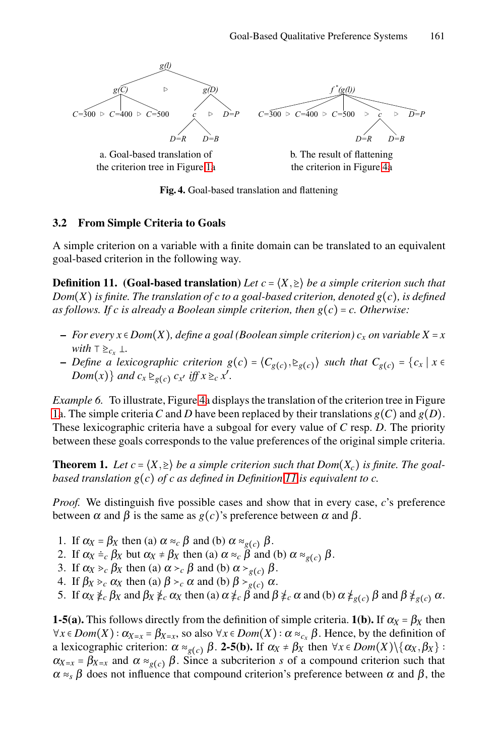<span id="page-8-1"></span><span id="page-8-0"></span>

**Fig. 4.** Goal-based translation and flattening

## **3.2 From Simple Criteria to Goals**

A simple criterion on a variable with a finite domain can be translated to an equivalent goal-based criterion in the following way.

**Definition 11.** (Goal-based translation) *Let*  $c = \langle X, \ge \rangle$  *be a simple criterion such that Dom*(*X*) *is [fini](#page-8-0)te. The translation of c to a goal-based criterion, denoted*  $g(c)$ *<i>, is defined as follows. If c is already a Boolean simple criterion, then*  $g(c) = c$ *. Otherwise:* 

- $\blacktriangle$  *– For every x* ∈ *Dom*(*X*), define a goal (Boolean simple criterion)  $c_x$  on variable X = x *with*  $\top \geq_{c_x}$  ⊥.
- **−** *Define a lexicographic criterion*  $g(c) = \langle C_{g(c)}, \Sigma_{g(c)} \rangle$  *such that*  $C_{g(c)} = \{c_x \mid x \in C\}$ *Dom*(*x*) } *and*  $c_x \, \succeq_{g(c)} c_x$  *iff*  $x \succeq_c x$ .

*Example 6.* To illustrate, Figure 4a displays the translation of the criterion tree in Figure 1a. The simple criteria C and D have been replaced by their translations  $g(C)$  and  $g(D)$ . These lexicographic criteria have a subgoal for every value of *C* resp. *D*. The priority between these goals corresponds to the value preferences of the original simple criteria.

**Theorem 1.** Let  $c = \langle X, \ge \rangle$  be a simple criterion such that  $Dom(X_c)$  is finite. The goal*based translation g*(*c*) *of c as defined in Definition 11 is equivalent to c.*

*Proof.* We distinguish five possible cases and show that in every case, *c*'s preference between  $\alpha$  and  $\beta$  is the same as  $g(c)$ 's preference between  $\alpha$  and  $\beta$ .

- 1. If  $\alpha_X = \beta_X$  then (a)  $\alpha \approx_c \beta$  and (b)  $\alpha \approx_{g(c)} \beta$ .
- 2. If  $\alpha_X \doteq_c \beta_X$  but  $\alpha_X \doteq \beta_X$  then (a)  $\alpha \approx_c \beta$  and (b)  $\alpha \approx_{\varrho(c)} \beta$ .
- 3. If  $\alpha_X > c \beta_X$  then (a)  $\alpha > c \beta$  and (b)  $\alpha >_{g(c)} \beta$ .
- 4. If  $\beta_X >_c \alpha_X$  then (a)  $\beta >_c \alpha$  and (b)  $\beta >_{g(c)} \alpha$ .
- 5. If  $\alpha_X \nleq_c \beta_X$  and  $\beta_X \nleq_c \alpha_X$  then (a)  $\alpha \nleq_c \beta$  and  $\beta \nleq_c \alpha$  and (b)  $\alpha \nleq_c \beta$  and  $\beta \nleq_{g(c)} \alpha$ .

**1-5(a).** This follows directly from the definition of simple criteria. **1(b).** If  $\alpha_X = \beta_X$  then  $\forall x \in Dom(X) : \alpha_{X=x} = \beta_{X=x}$ , so also  $\forall x \in Dom(X) : \alpha \approx_{c_x} \beta$ . Hence, by the definition of a lexicographic criterion:  $\alpha \approx_{g(c)} \beta$ . **2-5(b).** If  $\alpha_X \neq \beta_X$  then  $\forall x \in Dom(X) \setminus {\alpha_X, \beta_X}$ :  $\alpha_{X=x} = \beta_{X=x}$  and  $\alpha \approx_{\varrho(c)} \beta$ . Since a subcriterion *s* of a compound criterion such that  $\alpha \approx_{s} \beta$  does not influence that compound criterion's preference between  $\alpha$  and  $\beta$ , the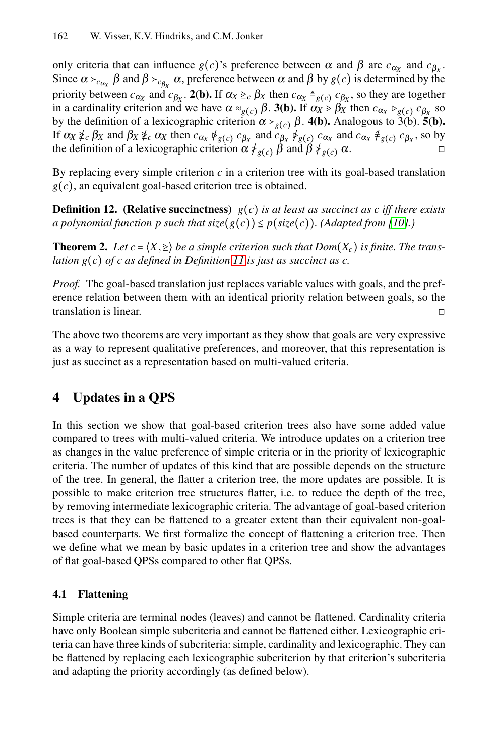only criteria that can influence *g*(*c*)'s preference between α and β are  $c_{α<sub>X</sub>}$  and  $c_{β<sub>Y</sub>}$ . Since  $\alpha > c_{\alpha_X} \beta$  and  $\beta > c_{\beta_X} \alpha$ , preference between  $\alpha$  and  $\beta$  by  $g(c)$  is determined by the priority between  $c_{\alpha_X}$  and  $c_{\beta_X}$ . 2(b). If  $\alpha_X \geq_c \beta_X$  then  $c_{\alpha_X} \triangleq_{g(c)} c_{\beta_X}$ , so they are together in a cardinality criterion and we have  $\alpha \approx_{g(c)} \beta$ . **3(b).** If  $\alpha_X > \beta_X$  then  $c_{\alpha_X} \rhd_{g(c)} c_{\beta_X}$  so by the definition of a lexicographic criterion  $\alpha >_{g(c)} \beta$ . **[4\(](#page-16-9)b).** Analogous to 3(b). **5(b).** If  $\alpha_X \nleq_c \beta_X$  and  $\beta_X \nleq_c \alpha_X$  then  $c_{\alpha_X} \nleq_{g(c)} c_{\beta_X}$  and  $c_{\beta_X} \nleq_{g(c)} c_{\alpha_X}$  and  $c_{\alpha_X} \nleq_{g(c)} c_{\beta_X}$ , so by the definition of a l[exic](#page-8-1)ographic criterion  $\alpha \nmid_{g(c)} \beta$  and  $\beta \nmid_{g(c)} \alpha$ .

By replacing every simple criterion *c* in a criterion tree with its goal-based translation *g*(*c*), an equivalent goal-based criterion tree is obtained.

**Definition 12.** (**Relative succinctness**)  $g(c)$  *is at least as succinct as c iff there exists a polynomial function p such that size*( $g(c)$ )  $\leq p(size(c))$ *. (Adapted from [10].)* 

**Theorem 2.** Let  $c = \langle X, \ge \rangle$  be a simple criterion such that  $Dom(X_c)$  is finite. The trans*lation g*(*c*) *of c as defined in Definition 11 is just as succinct as c.*

*Proof.* The goal-based translation just replaces variable values with goals, and the preference relation between them with an identical priority relation between goals, so the translation is linear. □

The above two theorems are very important as they show that goals are very expressive as a way to represent qualitative preferences, and moreover, that this representation is just as succinct as a representation based on multi-valued criteria.

# **4 Updates in a QPS**

In this section we show that goal-based criterion trees also have some added value compared to trees with multi-valued criteria. We introduce updates on a criterion tree as changes in the value preference of simple criteria or in the priority of lexicographic criteria. The number of updates of this kind that are possible depends on the structure of the tree. In general, the flatter a criterion tree, the more updates are possible. It is possible to make criterion tree structures flatter, i.e. to reduce the depth of the tree, by removing intermediate lexicographic criteria. The advantage of goal-based criterion trees is that they can be flattened to a greater extent than their equivalent non-goalbased counterparts. We first formalize the concept of flattening a criterion tree. Then we define what we mean by basic updates in a criterion tree and show the advantages of flat goal-based QPSs compared to other flat QPSs.

## **4.1 Flattening**

Simple criteria are terminal nodes (leaves) and cannot be flattened. Cardinality criteria have only Boolean simple subcriteria and cannot be flattened either. Lexicographic criteria can have three kinds of subcriteria: simple, cardinality and lexicographic. They can be flattened by replacing each lexicographic subcriterion by that criterion's subcriteria and adapting the priority accordingly (as defined below).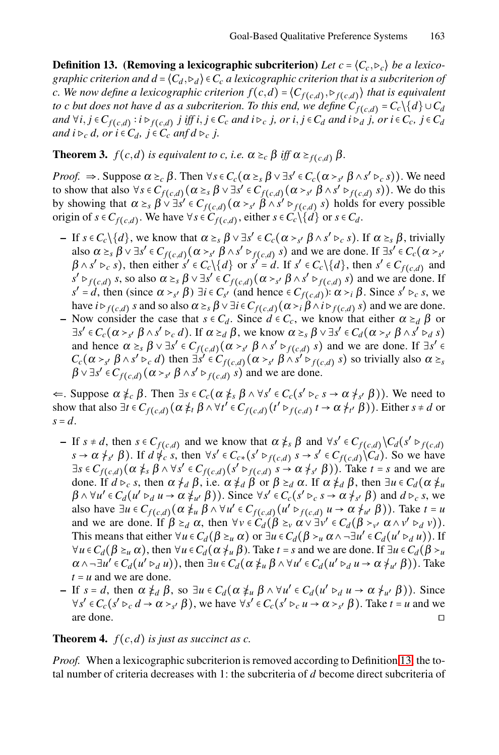<span id="page-10-0"></span>**Definition 13.** (Removing a lexicographic subcriterion) *Let*  $c = \langle C_c, \triangleright_c \rangle$  *be a lexicographic criterion and*  $d = (C_d, \triangleright_d) \in C_c$  *a lexicographic criterion that is a subcriterion of c. We now define a lexicographic criterion*  $f(c,d) = \langle C_{f(c,d)}, s_{f(c,d)} \rangle$  *that is equivalent to c but does not have d as a subcriterion. To this end, we define*  $C_{f(c,d)} = C_c \setminus \{d\} \cup C_d$ and  $\forall i, j \in C_{f(c,d)} : i \rhd_{f(c,d)} j$  iff  $i, j \in C_c$  and  $i \rhd_c j$ , or  $i, j \in C_d$  and  $i \rhd_d j$ , or  $i \in C_c$ ,  $j \in C_d$ *and*  $i \triangleright_c d$ , *or*  $i \in C_d$ ,  $j \in C_c$  *anf*  $d \triangleright_c j$ .

**Theorem 3.**  $f(c,d)$  *is equivalent to c, i.e.*  $\alpha \geq_c \beta$  *iff*  $\alpha \geq_{f(c,d)} \beta$ *.* 

*Proof.*  $\Rightarrow$  Suppose  $\alpha \geq_c \beta$ . Then  $\forall s \in C_c(\alpha \geq_s \beta \vee \exists s' \in C_c(\alpha >_{s'} \beta \wedge s' \rhd_c s))$ . We need to show that also  $\forall s \in C_{f(c,d)}(\alpha \geq s \beta \vee \exists s' \in C_{f(c,d)}(\alpha > s' \beta \wedge s' >_{f(c,d)} s))$ . We do this by showing that  $\alpha \geq_s \beta \vee \exists s' \in C_{f(c,d)}(\alpha >_{s'} \beta \wedge s' \supset_{f(c,d)} s)$  holds for every possible origin of  $s \in C_{f(c,d)}$ . We have  $\forall s \in C_{f(c,d)}$ , either  $s \in C_c \setminus \{d\}$  or  $s \in C_d$ .

- $\rightarrow$  If *s* ∈ *C<sub>c</sub>*</sub>\{*d*}, we know that  $\alpha \geq_s \beta$  ∨ ∃*s*' ∈ *C<sub>c</sub>*( $\alpha >_{s'} \beta$  ∧ *s*' ⊳*c s*). If  $\alpha \geq_s \beta$ , trivially also  $\alpha \geq s$   $\beta \vee \exists s' \in C_{f(c,d)}(\alpha > s' \beta \wedge s' \rhd_{f(c,d)} s)$  and we are done. If  $\exists s' \in C_c(\alpha > s'$  $\beta \wedge s' \vDash_{c} s$ ), then either  $s' \in C_c \setminus \{d\}$  or  $s' = d$ . If  $s' \in C_c \setminus \{d\}$ , then  $s' \in C_{f(c,d)}$  and  $s' \triangleright_{f(c,d)} s$ , so also  $\alpha \geq_s \beta \vee \exists s' \in C_{f(c,d)}(\alpha >_{s'} \beta \wedge s' \triangleright_{f(c,d)} s)$  and we are done. If  $s' = d$ , then (since  $\alpha > s'$   $\beta$ )  $\exists i \in C_{s'}$  (and hence  $\in C_{f(c,d)}$ ):  $\alpha > i \beta$ . Since  $s' \triangleright_c s$ , we have  $i \triangleright_{f(c,d)} s$  and so also  $\alpha \geq_s \beta \vee \exists i \in C_{f(c,d)}(\alpha >_i \beta \wedge i \triangleright_{f(c,d)} s)$  and we are done.
- **–** Now consider the case that  $s \in C_d$ . Since  $d \in C_c$ , we know that either  $\alpha \geq d \beta$  or  $\exists s' \in C_c(\alpha > s' \beta \land s' \rhd_c d)$ . If  $\alpha \geq_d \beta$ , we know  $\alpha \geq_s \beta \lor \exists s' \in C_d(\alpha > s' \beta \land s' \rhd_d s)$ and hence  $\alpha \geq_s \beta \vee \exists s' \in C_{f(c,d)}(\alpha >_{s'} \beta \wedge s' \rhd_{f(c,d)} s)$  and we are done. If  $\exists s' \in C$  $C_c(\alpha > s' \beta \land s' \nu_c d)$  then  $\exists s' \in C_{f(c,d)}(\alpha > s' \beta \land s' \nu_c d, s')$  so trivially also  $\alpha \geq s$  $\beta \vee \exists s' \in C_{f(c,d)}(\alpha >_{s'} \beta \wedge s' \rhd_{f(c,d)} s)$  and we are done.

⇐. Suppose <sup>α</sup> ⪰/*<sup>c</sup>* β. Then ∃*s* ∈ *Cc*(<sup>α</sup> ⪰/*<sup>s</sup>* β ∧ ∀*s* ′ ∈ *Cc*(*s* ′ ⊳*<sup>c</sup> s* → <sup>α</sup> ≻/*s*′ β)). We need to show that also  $\exists t \in C_{f(c,d)}(\alpha \neq t \ \beta \land \forall t' \in C_{f(c,d)}(t' \rhd_{f(c,d)} t \to \alpha \neq t' \ \beta)).$  Either  $s \neq d$  or  $s = d$ .

- If  $s \neq d$ , then  $s \in C_{f(c,d)}$  and we know that  $\alpha \neq_s \beta$  and  $\forall s' \in C_{f(c,d)} \backslash C_d(s' \triangleright_{f(c,d)})$  $s \to \alpha \nsucc_{s'} \beta$ ). If  $d \nless_{s'} f$  *c s*, then  $\forall s' \in C_{c*}(s' \rhd_{f(c,d)} s \to s' \in C_{f(c,d)}(C_d)$ . So we have  $\exists s \in C_{f(c,d)}( \alpha \nleq s \beta \land \forall s' \in C_{f(c,d)}(s' \rhd_{f(c,d)} s \rightarrow \alpha \nleq s' \beta)).$  Take  $t = s$  and we are done. If  $d \rhd_{c} s$ , then  $\alpha \nless_{d} \beta$ , i.e.  $\alpha \nless_{d} \beta$  or  $\beta \succeq_{d} \alpha$ . If  $\alpha \nless_{d} \beta$ , then  $\exists u \in C_{d}(\alpha \nless_{u} u)$  $\beta \wedge \forall u' \in C_d(u' \rhd_d u \to \alpha \nlessu q' \beta)$ ). Since  $\forall s' \in C_c(s' \rhd_c s \to \alpha \nlessu q' \rhd_c \beta)$  and  $d \rhd_c s$ , we also have  $\exists u \in C_{f(c,d)}(\alpha \neq_{u} \beta \wedge \forall u' \in C_{f(c,d)}(u' \rhd_{f(c,d)} u \rightarrow \alpha \neq_{u'} \beta))$ . Take  $t = u$ and we are done. If  $\beta \geq_d \alpha$ , then  $\forall v \in C_d (\beta \geq_v \alpha \vee \exists v' \in C_d (\beta >_{v'} \alpha \wedge v' \geq_d v))$ . This means that either  $\forall u \in C_d(\beta \geq_u \alpha)$  or  $\exists u \in C_d(\beta \geq_u \alpha \land \neg \exists u' \in C_d(u' \triangleright_d u))$ . If  $\forall u \in C_d(\beta \geq u \alpha)$ , then  $\forall u \in C_d(\alpha \neq u \beta)$ . Take  $t = s$  an[d w](#page-10-0)e are done. If  $\exists u \in C_d(\beta > u \alpha)$  $\alpha \wedge \neg \exists u' \in C_d(u' \triangleright_d u)$ , then  $\exists u \in C_d (\alpha \nleq u \beta \wedge \forall u' \in C_d(u' \triangleright_d u \rightarrow \alpha \nleq u' \beta)$ ). Take  $t = u$  and we are done.
- **–** If  $s = d$ , then  $\alpha \neq d \beta$ , so  $\exists u \in C_d(\alpha \neq u \beta \land \forall u' \in C_d(u' \triangleright_d u \rightarrow \alpha \neq u' \beta)$ ). Since  $\forall s' \in C_c(s' \rhd_c d \rightarrow \alpha \rhd_{s'} \beta)$ , we have  $\forall s' \in C_c(s' \rhd_c u \rightarrow \alpha \rhd_{s'} \beta)$ . Take  $t = u$  and we are done. □

## **Theorem 4.**  $f(c,d)$  *is just as succinct as c.*

*Proof.* When a lexicographic subcriterion is removed according to Definition 13, the total number of criteria decreases with 1: the subcriteria of *d* become direct subcriteria of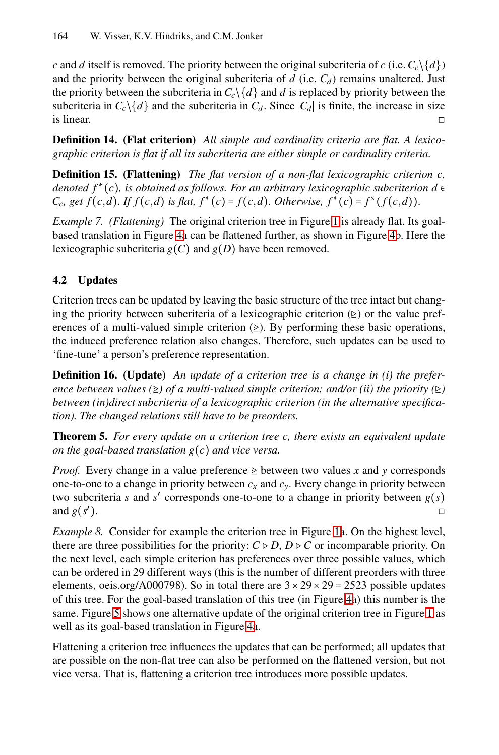*c* and *d* itself is removed. The priority between the original subcriteria of *c* (i.e.  $C_c \{d\}$ ) and the priority between the original subcriteria of  $d$  (i.e.  $C_d$ ) remains unaltered. Just the priority between the subcriteria in  $C_c \setminus \{d\}$  and *d* is replaced by priority between the subcriteria in  $C_c \setminus \{d\}$  and the subcriteria in  $C_d$ . Since  $|C_d|$  is finite, the increase in size is linear. ⊓⊔

**Definit[ion](#page-8-0) 14. (Flat criterion)** *All simple and cardi[na](#page-8-0)lity criteria are flat. A lexicographic criterion is flat if all its subcriteria are either simple or cardinality criteria.*

**Definition 15. (Flattening)** *The flat version of a non-flat lexicographic criterion c, denoted f*  $*(c)$ *, is obtained as follows. For an arbitrary lexicographic subcriterion d*  $\in$  $C_c$ , get  $f(c,d)$ . If  $f(c,d)$  is flat,  $f^*(c) = f(c,d)$ . Otherwise,  $f^*(c) = f^*(f(c,d))$ .

*Example 7. (Flattening)* The original criterion tree in Figure 1 is already flat. Its goalbased translation in Figure 4a can be flattened further, as shown in Figure 4b. Here the lexicographic subcriteria  $g(C)$  and  $g(D)$  have been removed.

## **4.2 Updates**

Criterion trees can be updated by leaving the basic structure of the tree intact but changing the priority between subcriteria of a lexicographic criterion  $(\ge)$  or the value preferences of a multi-valued simple criterion  $(\ge)$ . By performing these basic operations, the induced preference relation also changes. Therefore, such updates can be used to 'fine-tune' a person's preference representation.

**Definition 16. (Update)** *An update of a criterion tree is a change in (i) the preference between values ( ) of a multi-valued simple criterion; and/or (ii) the priority (*⊵*) between (in)direct subcriteria of a lexicographic criterion (in the alternative specification). The changed relations still have to be preorders.*

**Theorem 5.** *For every update on a criter[io](#page-3-0)n tree c, there exists an equivalent update on the goal-based translation g*(*c*) *and vice versa.*

*Proof.* Every change in a value preference  $\geq$  between two values x and y corresponds one-to-one to a change in priority between *cx* and *cy*. Every change in priority between two subcriteria *s* and *s'* corresp[on](#page-8-0)ds one-to-one to a change in priority between  $g(s)$ and  $g(s)$ ). ⊓⊔

*Example 8.* Consider f[or](#page-8-0) example the criterion tree in Figure 1a. On the highest level, there are three possibilities for the priority:  $C \triangleright D$ ,  $D \triangleright C$  or incomparable priority. On the next level, each simple criterion has preferences over three possible values, which can be ordered in 29 different ways (this is the number of different preorders with three elements, oeis.org/A000798). So in total there are  $3 \times 29 \times 29 = 2523$  possible updates of this tree. For the goal-based translation of this tree (in Figure 4a) this number is the same. Figure 5 shows one alternative update of the original criterion tree in Figure 1 as well as its goal-based translation in Figure 4a.

Flattening a criterion tree influences the updates that can be performed; all updates that are possible on the non-flat tree can also be performed on the flattened version, but not vice versa. That is, flattening a criterion tree introduces more possible updates.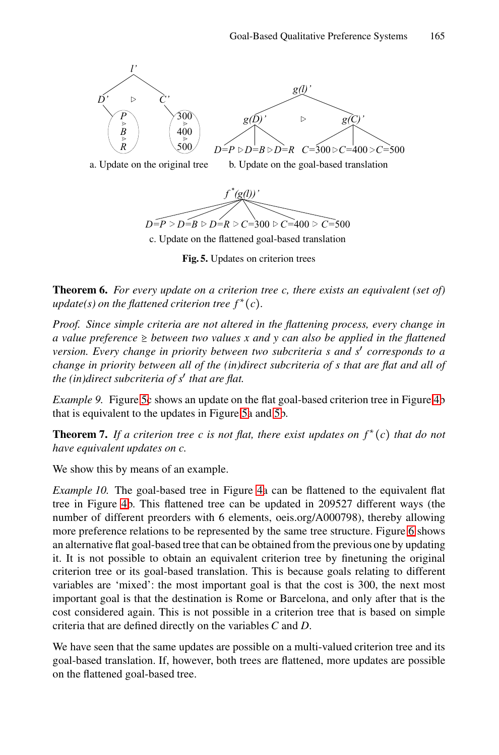<span id="page-12-0"></span>

**[T](#page-12-0)heorem 6.** *For every update on a criterion tree c, there exist[s a](#page-8-0)n equivalent (set of) update(s) on the flatte[ne](#page-12-0)d cri[ter](#page-12-0)ion tree*  $f^*(c)$ *.* 

*Proof. Since simple criteria are not altered in the flattening process, every change in a value preference between two values x and y can also be applied in the flattened version. Every change in priority between two subcriteria s and s*′ *corresponds to a change in priority between all of the (in)direct subcriteria of s that are flat and all of the (in)direct subcriteria [of](#page-8-0) s*′ *that are flat.*

*Example 9.* Figure 5c shows an update on the flat goal-based criterion tree in Figure 4b that is equivalent to the updates in Figure 5a and 5b.

**Theorem 7.** *If a criterion tree c is not flat, there exist u[pda](#page-13-0)tes on*  $f^*(c)$  *that do not have equivalent updates on c.*

We show this by means of an example.

*Example 10.* The goal-based tree in Figure 4a can be flattened to the equivalent flat tree in Figure 4b. This flattened tree can be updated in 209527 different ways (the number of different preorders with 6 elements, oeis.org/A000798), thereby allowing more preference relations to be represented by the same tree structure. Figure 6 shows an alternative flat goal-based tree that can be obtained from the previous one by updating it. It is not possible to obtain an equivalent criterion tree by finetuning the original criterion tree or its goal-based translation. This is because goals relating to different variables are 'mixed': the most important goal is that the cost is 300, the next most important goal is that the destination is Rome or Barcelona, and only after that is the cost considered again. This is not possible in a criterion tree that is based on simple criteria that are defined directly on the variables *C* and *D*.

We have seen that the same updates are possible on a multi-valued criterion tree and its goal-based translation. If, however, both trees are flattened, more updates are possible on the flattened goal-based tree.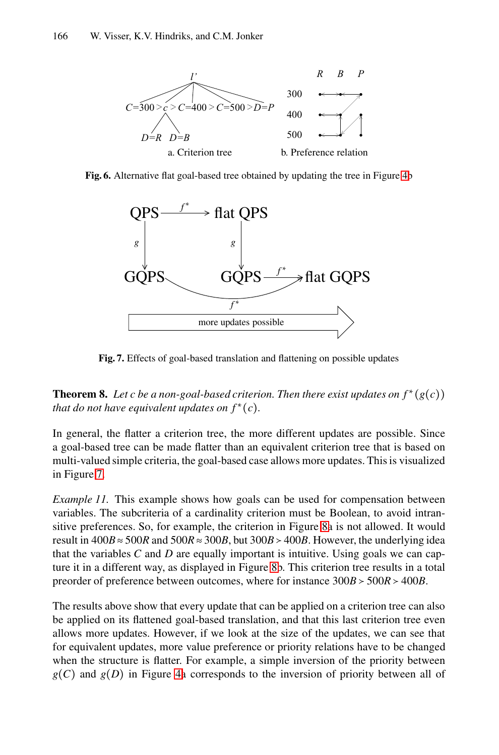<span id="page-13-0"></span>

**Fig. 6.** Alternative flat goal-based tree obtained by updating the tree in Figure 4b



**Fig. 7.** Effects of goal-based translation and flattening on possible updates

**Theorem 8.** Let c be a non-goal-based criterion. Then there exist updates on  $f^*(g(c))$ *that do not have equivalent updates on*  $f^*(c)$ *.* 

In general, the flatter a criterion tree, [the](#page-14-0) more different updates are possible. Since a goal-based tree can be made flatter than an equivalent criterion tree that is based on multi-valued simple criteria, [th](#page-14-0)e goal-based case allows more updates. This is visualized in Figure 7.

*Example 11.* This example shows how goals can be used for compensation between variables. The subcriteria of a cardinality criterion must be Boolean, to avoid intransitive preferences. So, for example, the criterion in Figure 8a is not allowed. It would result in 400*B*≈ 500*R* and 500*R*≈ 300*B*, but 300*B* ≻ 400*B*. However, the underlying idea that the variables  $C$  and  $D$  are equally important is intuitive. Using goals we can capture it i[n](#page-8-0) a different way, as displayed in Figure 8b. This criterion tree results in a total preorder of preference between outcomes, where for instance 300*B* ≻ 500*R* ≻ 400*B*.

The results above show that every update that can be applied on a criterion tree can also be applied on its flattened goal-based translation, and that this last criterion tree even allows more updates. However, if we look at the size of the updates, we can see that for equivalent updates, more value preference or priority relations have to be changed when the structure is flatter. For example, a simple inversion of the priority between  $g(C)$  and  $g(D)$  in Figure 4a corresponds to the inversion of priority between all of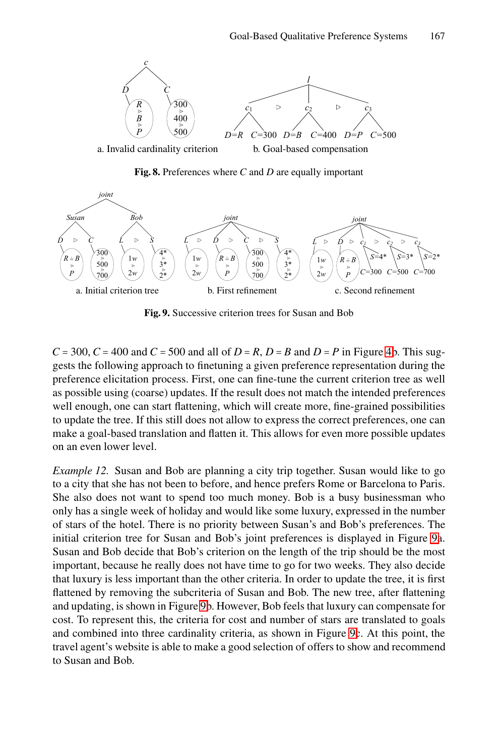<span id="page-14-0"></span>

<span id="page-14-1"></span>**Fig. 8.** Preferences where *C* and *D* are equally important



**Fig. 9.** Successive criterion trees for Susan and Bob

 $C = 300$ ,  $C = 400$  and  $C = 500$  and all of  $D = R$ ,  $D = B$  and  $D = P$  in Figure 4b. This suggests the following approach to finetuning a given preference representation during the preference elicitation process. First, one can fine-tune the current criterion tree as well as possible using (coarse) updates. If the result does not match the intended preferences well enough, one can start flattening, which will create more, fine-grained possibilities to update the tree. If this still does not allow to express the correct preferences, one can make a goal-based translation and flatten it. This allows for eve[n m](#page-14-1)ore possible updates on an even lower level.

*Example 12.* Susan and Bob are planning a city trip together. Susan would like to go to a city that she has not been to before, and hence prefers Rome or Barcelona to Paris. She also do[es](#page-14-1) not want to spend too much money. Bob is a busy businessman who only has a single week of holiday and would like some luxury, expressed in the number of stars of the hotel. There is no priority bet[we](#page-14-1)en Susan's and Bob's preferences. The initial criterion tree for Susan and Bob's joint preferences is displayed in Figure 9a. Susan and Bob decide that Bob's criterion on the length of the trip should be the most important, because he really does not have time to go for two weeks. They also decide that luxury is less important than the other criteria. In order to update the tree, it is first flattened by removing the subcriteria of Susan and Bob. The new tree, after flattening and updating, is shown in Figure 9b. However, Bob feels that luxury can compensate for cost. To represent this, the criteria for cost and number of stars are translated to goals and combined into three cardinality criteria, as shown in Figure 9c. At this point, the travel agent's website is able to make a good selection of offers to show and recommend to Susan and Bob.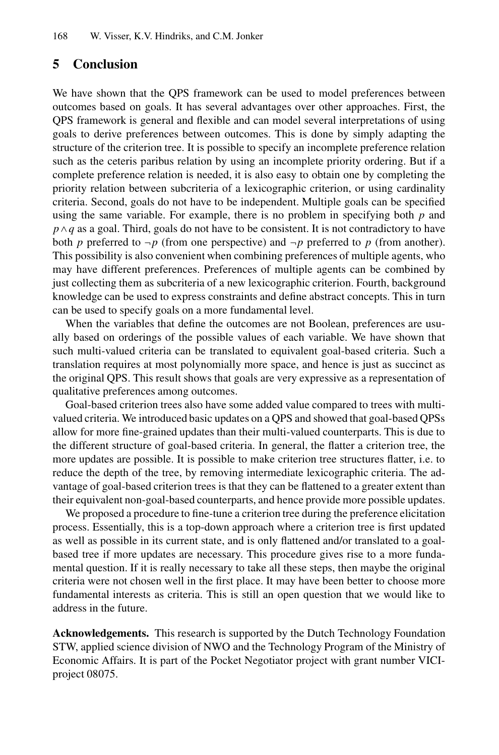# **5 Conclusion**

We have shown that the QPS framework can be used to model preferences between outcomes based on goals. It has several advantages over other approaches. First, the QPS framework is general and flexible and can model several interpretations of using goals to derive preferences between outcomes. This is done by simply adapting the structure of the criterion tree. It is possible to specify an incomplete preference relation such as the ceteris paribus relation by using an incomplete priority ordering. But if a complete preference relation is needed, it is also easy to obtain one by completing the priority relation between subcriteria of a lexicographic criterion, or using cardinality criteria. Second, goals do not have to be independent. Multiple goals can be specified using the same variable. For example, there is no problem in specifying both *p* and *p*∧*q* as a goal. Third, goals do not have to be consistent. It is not contradictory to have both *p* preferred to  $\neg p$  (from one perspective) and  $\neg p$  preferred to *p* (from another). This possibility is also convenient when combining preferences of multiple agents, who may have different preferences. Preferences of multiple agents can be combined by just collecting them as subcriteria of a new lexicographic criterion. Fourth, background knowledge can be used to express constraints and define abstract concepts. This in turn can be used to specify goals on a more fundamental level.

When the variables that define the outcomes are not Boolean, preferences are usually based on orderings of the possible values of each variable. We have shown that such multi-valued criteria can be translated to equivalent goal-based criteria. Such a translation requires at most polynomially more space, and hence is just as succinct as the original QPS. This result shows that goals are very expressive as a representation of qualitative preferences among outcomes.

Goal-based criterion trees also have some added value compared to trees with multivalued criteria. We introduced basic updates on a QPS and showed that goal-based QPSs allow for more fine-grained updates than their multi-valued counterparts. This is due to the different structure of goal-based criteria. In general, the flatter a criterion tree, the more updates are possible. It is possible to make criterion tree structures flatter, i.e. to reduce the depth of the tree, by removing intermediate lexicographic criteria. The advantage of goal-based criterion trees is that they can be flattened to a greater extent than their equivalent non-goal-based counterparts, and hence provide more possible updates.

We proposed a procedure to fine-tune a criterion tree during the preference elicitation process. Essentially, this is a top-down approach where a criterion tree is first updated as well as possible in its current state, and is only flattened and/or translated to a goalbased tree if more updates are necessary. This procedure gives rise to a more fundamental question. If it is really necessary to take all these steps, then maybe the original criteria were not chosen well in the first place. It may have been better to choose more fundamental interests as criteria. This is still an open question that we would like to address in the future.

**Acknowledgements.** This research is supported by the Dutch Technology Foundation STW, applied science division of NWO and the Technology Program of the Ministry of Economic Affairs. It is part of the Pocket Negotiator project with grant number VICIproject 08075.